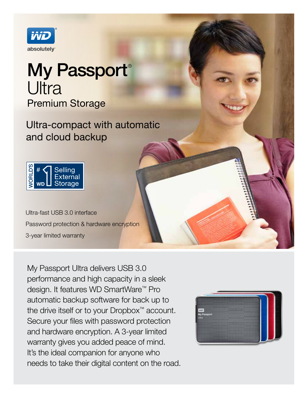

# My Passport® Ultra Premium Storage

Ultra-compact with automatic and cloud backup



Ultra-fast USB 3.0 interface Password protection & hardware encryption 3-year limited warranty

My Passport Ultra delivers USB 3.0 performance and high capacity in a sleek design. It features WD SmartWare™ Pro automatic backup software for back up to the drive itself or to your Dropbox™ account. Secure your files with password protection and hardware encryption. A 3-year limited warranty gives you added peace of mind. It's the ideal companion for anyone who needs to take their digital content on the road.